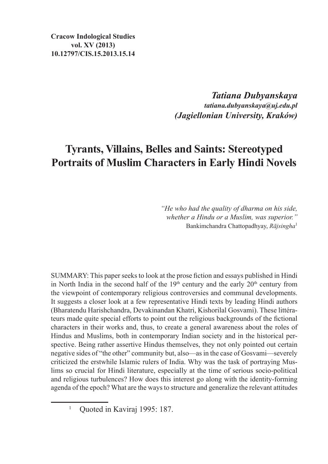*Tatiana Dubyanskaya tatiana.dubyanskaya@uj.edu.pl (Jagiellonian University, Kraków)*

## **Tyrants, Villains, Belles and Saints: Stereotyped Portraits of Muslim Characters in Early Hindi Novels**

*"He who had the quality of dharma on his side, whether a Hindu or a Muslim, was superior."* Bankimchandra Chattopadhyay, *Rājsingha*<sup>1</sup>

SUMMARY: This paper seeks to look at the prose fiction and essays published in Hindi in North India in the second half of the  $19<sup>th</sup>$  century and the early  $20<sup>th</sup>$  century from the viewpoint of contemporary religious controversies and communal developments. It suggests a closer look at a few representative Hindi texts by leading Hindi authors (Bharatendu Harishchandra, Devakinandan Khatri, Kishorilal Gosvami). These littérateurs made quite special efforts to point out the religious backgrounds of the fictional characters in their works and, thus, to create a general awareness about the roles of Hindus and Muslims, both in contemporary Indian society and in the historical perspective. Being rather assertive Hindus themselves, they not only pointed out certain negative sides of "the other" community but, also—as in the case of Gosvami—severely criticized the erstwhile Islamic rulers of India. Why was the task of portraying Muslims so crucial for Hindi literature, especially at the time of serious socio-political and religious turbulences? How does this interest go along with the identity-forming agenda of the epoch? What are the ways to structure and generalize the relevant attitudes

<sup>1</sup> Quoted in Kaviraj 1995: 187.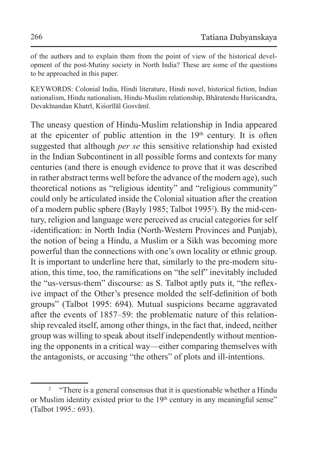of the authors and to explain them from the point of view of the historical development of the post-Mutiny society in North India? These are some of the questions to be approached in this paper.

KEYWORDS: Colonial India, Hindi literature, Hindi novel, historical fiction, Indian nationalism, Hindu nationalism, Hindu-Muslim relationship, Bhāratendu Hariścandra, Devakīnandan Khatrī, Kiśorīlāl Gosvāmī.

The uneasy question of Hindu-Muslim relationship in India appeared at the epicenter of public attention in the  $19<sup>th</sup>$  century. It is often suggested that although *per se* this sensitive relationship had existed in the Indian Subcontinent in all possible forms and contexts for many centuries (and there is enough evidence to prove that it was described in rather abstract terms well before the advance of the modern age), such theoretical notions as "religious identity" and "religious community" could only be articulated inside the Colonial situation after the creation of a modern public sphere (Bayly 1985; Talbot 1995<sup>2</sup> ). By the mid-century, religion and language were perceived as crucial categories for self -identification: in North India (North-Western Provinces and Punjab), the notion of being a Hindu, a Muslim or a Sikh was becoming more powerful than the connections with one's own locality or ethnic group. It is important to underline here that, similarly to the pre-modern situation, this time, too, the ramifications on "the self" inevitably included the "us-versus-them" discourse: as S. Talbot aptly puts it, "the reflexive impact of the Other's presence molded the self-definition of both groups" (Talbot 1995: 694). Mutual suspicions became aggravated after the events of 1857–59: the problematic nature of this relationship revealed itself, among other things, in the fact that, indeed, neither group was willing to speak about itself independently without mentioning the opponents in a critical way—either comparing themselves with the antagonists, or accusing "the others" of plots and ill-intentions.

<sup>&</sup>lt;sup>2</sup> "There is a general consensus that it is questionable whether a Hindu or Muslim identity existed prior to the  $19<sup>th</sup>$  century in any meaningful sense" (Talbot 1995.: 693).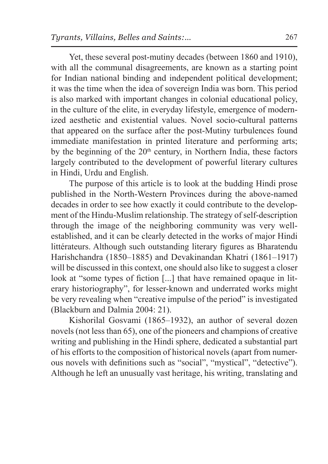Yet, these several post-mutiny decades (between 1860 and 1910), with all the communal disagreements, are known as a starting point for Indian national binding and independent political development; it was the time when the idea of sovereign India was born. This period is also marked with important changes in colonial educational policy, in the culture of the elite, in everyday lifestyle, emergence of modernized aesthetic and existential values. Novel socio-cultural patterns that appeared on the surface after the post-Mutiny turbulences found immediate manifestation in printed literature and performing arts; by the beginning of the 20th century, in Northern India, these factors largely contributed to the development of powerful literary cultures in Hindi, Urdu and English.

The purpose of this article is to look at the budding Hindi prose published in the North-Western Provinces during the above-named decades in order to see how exactly it could contribute to the development of the Hindu-Muslim relationship. The strategy of self-description through the image of the neighboring community was very wellestablished, and it can be clearly detected in the works of major Hindi littérateurs. Although such outstanding literary figures as Bharatendu Harishchandra (1850–1885) and Devakinandan Khatri (1861–1917) will be discussed in this context, one should also like to suggest a closer look at "some types of fiction [...] that have remained opaque in literary historiography", for lesser-known and underrated works might be very revealing when "creative impulse of the period" is investigated (Blackburn and Dalmia 2004: 21).

Kishorilal Gosvami (1865–1932), an author of several dozen novels (not less than 65), one of the pioneers and champions of creative writing and publishing in the Hindi sphere, dedicated a substantial part of his efforts to the composition of historical novels (apart from numerous novels with definitions such as "social", "mystical", "detective"). Although he left an unusually vast heritage, his writing, translating and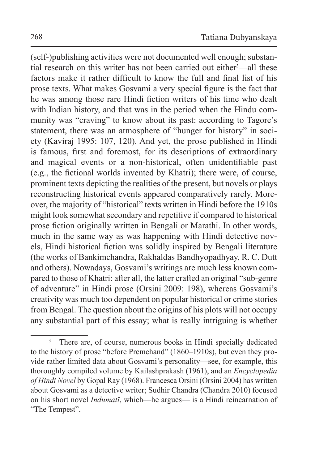(self-)publishing activities were not documented well enough; substantial research on this writer has not been carried out either<sup>3</sup>—all these factors make it rather difficult to know the full and final list of his prose texts. What makes Gosvami a very special figure is the fact that he was among those rare Hindi fiction writers of his time who dealt with Indian history, and that was in the period when the Hindu community was "craving" to know about its past: according to Tagore's statement, there was an atmosphere of "hunger for history" in society (Kaviraj 1995: 107, 120). And yet, the prose published in Hindi is famous, first and foremost, for its descriptions of extraordinary and magical events or a non-historical, often unidentifiable past (e.g., the fictional worlds invented by Khatri); there were, of course, prominent texts depicting the realities of the present, but novels or plays reconstructing historical events appeared comparatively rarely. Moreover, the majority of "historical" texts written in Hindi before the 1910s might look somewhat secondary and repetitive if compared to historical prose fiction originally written in Bengali or Marathi. In other words, much in the same way as was happening with Hindi detective novels, Hindi historical fiction was solidly inspired by Bengali literature (the works of Bankimchandra, Rakhaldas Bandhyopadhyay, R. C. Dutt and others). Nowadays, Gosvami's writings are much less known compared to those of Khatri: after all, the latter crafted an original "sub-genre of adventure" in Hindi prose (Orsini 2009: 198), whereas Gosvami's creativity was much too dependent on popular historical or crime stories from Bengal. The question about the origins of his plots will not occupy any substantial part of this essay; what is really intriguing is whether

<sup>&</sup>lt;sup>3</sup> There are, of course, numerous books in Hindi specially dedicated to the history of prose "before Premchand" (1860–1910s), but even they provide rather limited data about Gosvami's personality—see, for example, this thoroughly compiled volume by Kailashprakash (1961), and an *Encyclopedia of Hindi Novel* by Gopal Ray (1968). Francesca Orsini (Orsini 2004) has written about Gosvami as a detective writer; Sudhir Chandra (Chandra 2010) focused on his short novel *Indumatī*, which—he argues— is a Hindi reincarnation of "The Tempest".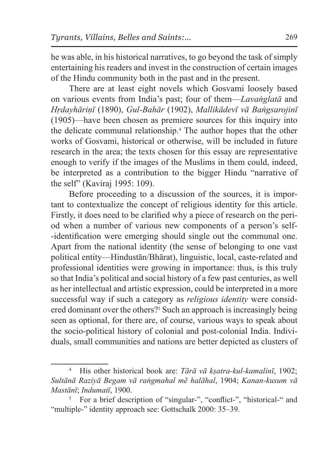he was able, in his historical narratives, to go beyond the task of simply entertaining his readers and invest in the construction of certain images of the Hindu community both in the past and in the present.

There are at least eight novels which Gosvami loosely based on various events from India's past; four of them—*Lavaṅglatā* and *Hṛdayhāriṇī* (1890), *Gul-Bahār* (1902), *Mallikādevī vā Baṅgsarojinī* (1905)—have been chosen as premiere sources for this inquiry into the delicate communal relationship.<sup>4</sup> The author hopes that the other works of Gosvami, historical or otherwise, will be included in future research in the area; the texts chosen for this essay are representative enough to verify if the images of the Muslims in them could, indeed, be interpreted as a contribution to the bigger Hindu "narrative of the self" (Kaviraj 1995: 109).

Before proceeding to a discussion of the sources, it is important to contextualize the concept of religious identity for this article. Firstly, it does need to be clarified why a piece of research on the period when a number of various new components of a person's selfidentification were emerging should single out the communal one. Apart from the national identity (the sense of belonging to one vast political entity—Hindustān/Bhārat), linguistic, local, caste-related and professional identities were growing in importance: thus, is this truly so that India's political and social history of a few past centuries, as well as her intellectual and artistic expression, could be interpreted in a more successful way if such a category as *religious identity* were considered dominant over the others?<sup>5</sup> Such an approach is increasingly being seen as optional, for there are, of course, various ways to speak about the socio-political history of colonial and post-colonial India. Individuals, small communities and nations are better depicted as clusters of

<sup>4</sup> His other historical book are: *Tārā vā kṣatra-kul-kamalinī*, 1902; *Sultānā Raziyā Begam vā raṅgmahal mẽ halāhal*, 1904; *Kanan-kusum vā Mastānī*; *Indumatī*, 1900.

<sup>5</sup> For a brief description of "singular-", "conflict-", "historical-" and "multiple-" identity approach see: Gottschalk 2000: 35–39.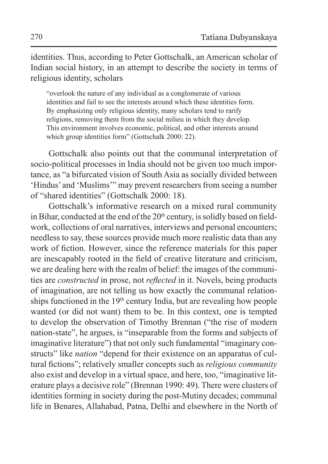identities. Thus, according to Peter Gottschalk, an American scholar of Indian social history, in an attempt to describe the society in terms of religious identity, scholars

"overlook the nature of any individual as a conglomerate of various identities and fail to see the interests around which these identities form. By emphasizing only religious identity, many scholars tend to rarify religions, removing them from the social milieu in which they develop. This environment involves economic, political, and other interests around which group identities form" (Gottschalk 2000: 22).

Gottschalk also points out that the communal interpretation of socio-political processes in India should not be given too much importance, as "a bifurcated vision of South Asia as socially divided between 'Hindus' and 'Muslims'" may prevent researchers from seeing a number of "shared identities" (Gottschalk 2000: 18).

Gottschalk's informative research on a mixed rural community in Bihar, conducted at the end of the  $20<sup>th</sup>$  century, is solidly based on fieldwork, collections of oral narratives, interviews and personal encounters; needless to say, these sources provide much more realistic data than any work of fiction. However, since the reference materials for this paper are inescapably rooted in the field of creative literature and criticism, we are dealing here with the realm of belief: the images of the communities are *constructed* in prose, not *reflected* in it. Novels, being products of imagination, are not telling us how exactly the communal relationships functioned in the 19<sup>th</sup> century India, but are revealing how people wanted (or did not want) them to be. In this context, one is tempted to develop the observation of Timothy Brennan ("the rise of modern nation-state", he argues, is "inseparable from the forms and subjects of imaginative literature") that not only such fundamental "imaginary constructs" like *nation* "depend for their existence on an apparatus of cultural fictions"; relatively smaller concepts such as *religious community* also exist and develop in a virtual space, and here, too, "imaginative literature plays a decisive role" (Brennan 1990: 49). There were clusters of identities forming in society during the post-Mutiny decades; communal life in Benares, Allahabad, Patna, Delhi and elsewhere in the North of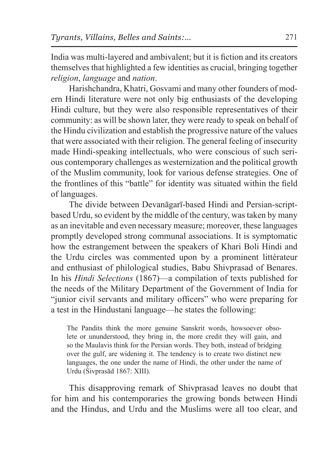India was multi-layered and ambivalent; but it is fiction and its creators themselves that highlighted a few identities as crucial, bringing together *religion*, *language* and *nation*.

Harishchandra, Khatri, Gosvami and many other founders of modern Hindi literature were not only big enthusiasts of the developing Hindi culture, but they were also responsible representatives of their community: as will be shown later, they were ready to speak on behalf of the Hindu civilization and establish the progressive nature of the values that were associated with their religion. The general feeling of insecurity made Hindi-speaking intellectuals, who were conscious of such serious contemporary challenges as westernization and the political growth of the Muslim community, look for various defense strategies. One of the frontlines of this "battle" for identity was situated within the field of languages.

The divide between Devanāgarī-based Hindi and Persian-scriptbased Urdu, so evident by the middle of the century, was taken by many as an inevitable and even necessary measure; moreover, these languages promptly developed strong communal associations. It is symptomatic how the estrangement between the speakers of Khari Boli Hindi and the Urdu circles was commented upon by a prominent littérateur and enthusiast of philological studies, Babu Shivprasad of Benares. In his *Hindi Selections* (1867)—a compilation of texts published for the needs of the Military Department of the Government of India for "junior civil servants and military officers" who were preparing for a test in the Hindustani language—he states the following:

The Pandits think the more genuine Sanskrit words, howsoever obsolete or ununderstood, they bring in, the more credit they will gain, and so the Maulavis think for the Persian words. They both, instead of bridging over the gulf, are widening it. The tendency is to create two distinct new languages, the one under the name of Hindi, the other under the name of Urdu (Śivprasād 1867: XIII).

This disapproving remark of Shivprasad leaves no doubt that for him and his contemporaries the growing bonds between Hindi and the Hindus, and Urdu and the Muslims were all too clear, and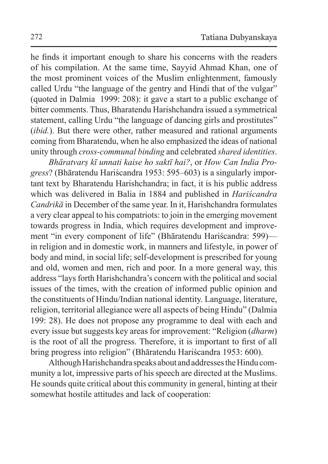he finds it important enough to share his concerns with the readers of his compilation. At the same time, Sayyid Ahmad Khan, one of the most prominent voices of the Muslim enlightenment, famously called Urdu "the language of the gentry and Hindi that of the vulgar" (quoted in Dalmia 1999: 208): it gave a start to a public exchange of bitter comments. Thus, Bharatendu Harishchandra issued a symmetrical statement, calling Urdu "the language of dancing girls and prostitutes" (*ibid.*). But there were other, rather measured and rational arguments coming from Bharatendu, when he also emphasized the ideas of national unity through *cross-communal binding* and celebrated *shared identities*.

*Bhāratvarṣ kī unnati kaise ho saktī hai?*, or *How Can India Progress*? (Bhāratendu Hariścandra 1953: 595–603) is a singularly important text by Bharatendu Harishchandra; in fact, it is his public address which was delivered in Balia in 1884 and published in *Hariścandra Candrikā* in December of the same year. In it, Harishchandra formulates a very clear appeal to his compatriots: to join in the emerging movement towards progress in India, which requires development and improvement "in every component of life" (Bhāratendu Hariścandra: 599) in religion and in domestic work, in manners and lifestyle, in power of body and mind, in social life; self-development is prescribed for young and old, women and men, rich and poor. In a more general way, this address "lays forth Harishchandra's concern with the political and social issues of the times, with the creation of informed public opinion and the constituents of Hindu/Indian national identity. Language, literature, religion, territorial allegiance were all aspects of being Hindu" (Dalmia 199: 28). He does not propose any programme to deal with each and every issue but suggests key areas for improvement: "Religion (*dharm*) is the root of all the progress. Therefore, it is important to first of all bring progress into religion" (Bhāratendu Hariścandra 1953: 600).

Although Harishchandra speaks about and addresses the Hindu community a lot, impressive parts of his speech are directed at the Muslims. He sounds quite critical about this community in general, hinting at their somewhat hostile attitudes and lack of cooperation: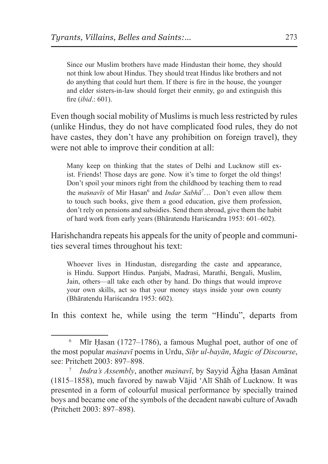Since our Muslim brothers have made Hindustan their home, they should not think low about Hindus. They should treat Hindus like brothers and not do anything that could hurt them. If there is fire in the house, the younger and elder sisters-in-law should forget their enmity, go and extinguish this fire (*ibid*.: 601).

Even though social mobility of Muslims is much less restricted by rules (unlike Hindus, they do not have complicated food rules, they do not have castes, they don't have any prohibition on foreign travel), they were not able to improve their condition at all:

Many keep on thinking that the states of Delhi and Lucknow still exist. Friends! Those days are gone. Now it's time to forget the old things! Don't spoil your minors right from the childhood by teaching them to read the *masnavīs* of Mir Hasan<sup>6</sup> and *Indar Sabhā*<sup>7</sup>... Don't even allow them to touch such books, give them a good education, give them profession, don't rely on pensions and subsidies. Send them abroad, give them the habit of hard work from early years (Bhāratendu Hariścandra 1953: 601–602).

Harishchandra repeats his appeals for the unity of people and communities several times throughout his text:

Whoever lives in Hindustan, disregarding the caste and appearance, is Hindu. Support Hindus. Panjabi, Madrasi, Marathi, Bengali, Muslim, Jain, others—all take each other by hand. Do things that would improve your own skills, act so that your money stays inside your own county (Bhāratendu Hariścandra 1953: 602).

In this context he, while using the term "Hindu", departs from

<sup>6</sup> Mīr Ḥasan (1727–1786), a famous Mughal poet, author of one of the most popular *maṡnavī* poems in Urdu, *Siḥr ul-bayān*, *Magic of Discourse*, see: Pritchett 2003: 897–898.

<sup>7</sup> *Indra's Assembly*, another *maṡnavī*, by Sayyid Āġha Ḥasan Amānat (1815–1858), much favored by nawab Vājid 'Alī Shāh of Lucknow. It was presented in a form of colourful musical performance by specially trained boys and became one of the symbols of the decadent nawabi culture of Awadh (Pritchett 2003: 897–898).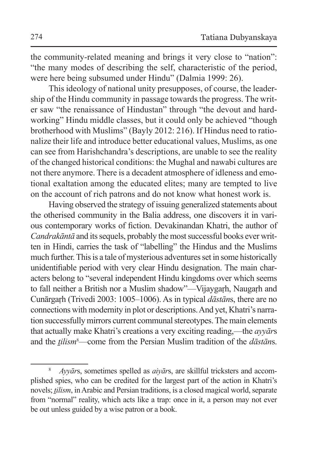the community-related meaning and brings it very close to "nation": "the many modes of describing the self, characteristic of the period, were here being subsumed under Hindu" (Dalmia 1999: 26).

This ideology of national unity presupposes, of course, the leadership of the Hindu community in passage towards the progress. The writer saw "the renaissance of Hindustan" through "the devout and hardworking" Hindu middle classes, but it could only be achieved "though brotherhood with Muslims" (Bayly 2012: 216). If Hindus need to rationalize their life and introduce better educational values, Muslims, as one can see from Harishchandra's descriptions, are unable to see the reality of the changed historical conditions: the Mughal and nawabi cultures are not there anymore. There is a decadent atmosphere of idleness and emotional exaltation among the educated elites; many are tempted to live on the account of rich patrons and do not know what honest work is.

Having observed the strategy of issuing generalized statements about the otherised community in the Balia address, one discovers it in various contemporary works of fiction. Devakinandan Khatri, the author of *Candrakāntā* and its sequels, probably the most successful books ever written in Hindi, carries the task of "labelling" the Hindus and the Muslims much further. This is a tale of mysterious adventures set in some historically unidentifiable period with very clear Hindu designation. The main characters belong to "several independent Hindu kingdoms over which seems to fall neither a British nor a Muslim shadow"—Vijaygarh, Naugarh and Cunārgaṛh (Trivedi 2003: 1005–1006). As in typical *dāstān*s, there are no connections with modernity in plot or descriptions. And yet, Khatri's narration successfully mirrors current communal stereotypes. The main elements that actually make Khatri's creations a very exciting reading,—the *ayyār*s and the *ṯilism*<sup>8</sup> —come from the Persian Muslim tradition of the *dāstān*s.

<sup>8</sup> *Ayyār*s, sometimes spelled as *aiyār*s, are skillful tricksters and accomplished spies, who can be credited for the largest part of the action in Khatri's novels; *tilism*, in Arabic and Persian traditions, is a closed magical world, separate from "normal" reality, which acts like a trap: once in it, a person may not ever be out unless guided by a wise patron or a book.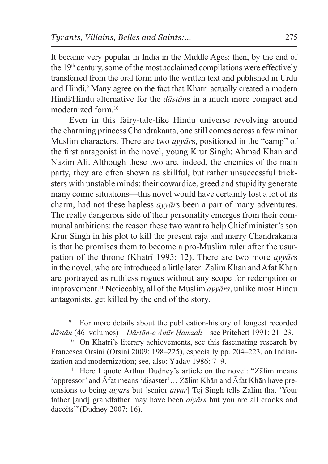It became very popular in India in the Middle Ages; then, by the end of the  $19<sup>th</sup>$  century, some of the most acclaimed compilations were effectively transferred from the oral form into the written text and published in Urdu and Hindi.<sup>9</sup> Many agree on the fact that Khatri actually created a modern Hindi/Hindu alternative for the *dāstān*s in a much more compact and modernized form <sup>10</sup>

Even in this fairy-tale-like Hindu universe revolving around the charming princess Chandrakanta, one still comes across a few minor Muslim characters. There are two *ayyār*s, positioned in the "camp" of the first antagonist in the novel, young Krur Singh: Ahmad Khan and Nazim Ali. Although these two are, indeed, the enemies of the main party, they are often shown as skillful, but rather unsuccessful tricksters with unstable minds; their cowardice, greed and stupidity generate many comic situations—this novel would have certainly lost a lot of its charm, had not these hapless *ayyār*s been a part of many adventures. The really dangerous side of their personality emerges from their communal ambitions: the reason these two want to help Chief minister's son Krur Singh in his plot to kill the present raja and marry Chandrakanta is that he promises them to become a pro-Muslim ruler after the usurpation of the throne (Khatrī 1993: 12). There are two more *ayyār*s in the novel, who are introduced a little later: Zalim Khan and Afat Khan are portrayed as ruthless rogues without any scope for redemption or improvement.11 Noticeably, all of the Muslim *ayyārs*, unlike most Hindu antagonists, get killed by the end of the story.

<sup>9</sup> For more details about the publication-history of longest recorded *dāstān* (46 volumes)—*Dāstān-e Amīr Ḥamzah*—see Pritchett 1991: 21–23.

<sup>&</sup>lt;sup>10</sup> On Khatri's literary achievements, see this fascinating research by Francesca Orsini (Orsini 2009: 198–225), especially pp. 204–223, on Indianization and modernization; see, also: Yādav 1986: 7–9.

<sup>&</sup>lt;sup>11</sup> Here I quote Arthur Dudney's article on the novel: "Zālim means" 'oppressor' and Āfat means 'disaster'… Zālim Khān and Āfat Khān have pretensions to being *aiyār*s but [senior *aiyār*] Tej Singh tells Zālim that 'Your father [and] grandfather may have been *aiyārs* but you are all crooks and dacoits'"(Dudney 2007: 16).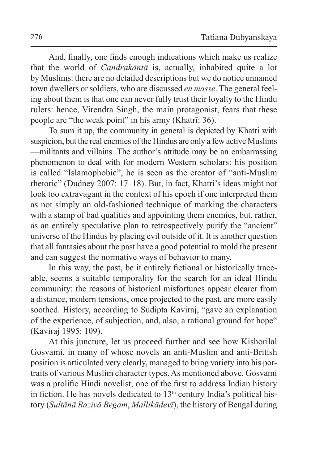And, finally, one finds enough indications which make us realize that the world of *Candrakāntā* is, actually, inhabited quite a lot by Muslims: there are no detailed descriptions but we do notice unnamed town dwellers or soldiers, who are discussed *en masse*. The general feeling about them is that one can never fully trust their loyalty to the Hindu rulers: hence, Virendra Singh, the main protagonist, fears that these people are "the weak point" in his army (Khatrī: 36).

To sum it up, the community in general is depicted by Khatri with suspicion, but the real enemies of the Hindus are only a few active Muslims —militants and villains. The author's attitude may be an embarrassing phenomenon to deal with for modern Western scholars: his position is called "Islamophobic", he is seen as the creator of "anti-Muslim rhetoric" (Dudney 2007: 17–18). But, in fact, Khatri's ideas might not look too extravagant in the context of his epoch if one interpreted them as not simply an old-fashioned technique of marking the characters with a stamp of bad qualities and appointing them enemies, but, rather, as an entirely speculative plan to retrospectively purify the "ancient" universe of the Hindus by placing evil outside of it. It is another question that all fantasies about the past have a good potential to mold the present and can suggest the normative ways of behavior to many.

In this way, the past, be it entirely fictional or historically traceable, seems a suitable temporality for the search for an ideal Hindu community: the reasons of historical misfortunes appear clearer from a distance, modern tensions, once projected to the past, are more easily soothed. History, according to Sudipta Kaviraj, "gave an explanation of the experience, of subjection, and, also, a rational ground for hope" (Kaviraj 1995: 109).

At this juncture, let us proceed further and see how Kishorilal Gosvami, in many of whose novels an anti-Muslim and anti-British position is articulated very clearly, managed to bring variety into his portraits of various Muslim character types. As mentioned above, Gosvami was a prolific Hindi novelist, one of the first to address Indian history in fiction. He has novels dedicated to  $13<sup>th</sup>$  century India's political history (*Sultānā Raziyā Begam*, *Mallikādevī*), the history of Bengal during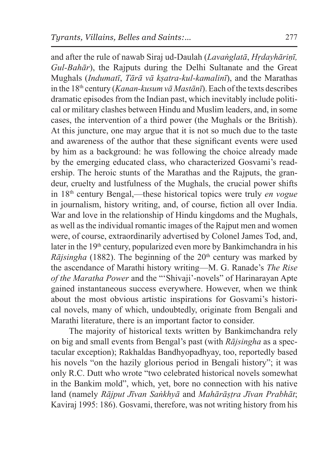and after the rule of nawab Siraj ud-Daulah (*Lavaṅglatā*, *Hṛdayhāriṇī, Gul-Bahār*), the Rajputs during the Delhi Sultanate and the Great Mughals (*Indumatī*, *Tārā vā kṣatra-kul-kamalinī*), and the Marathas in the 18th century (*Kanan-kusum vā Mastānī*). Each of the texts describes dramatic episodes from the Indian past, which inevitably include political or military clashes between Hindu and Muslim leaders, and, in some cases, the intervention of a third power (the Mughals or the British). At this juncture, one may argue that it is not so much due to the taste and awareness of the author that these significant events were used by him as a background: he was following the choice already made by the emerging educated class, who characterized Gosvami's readership. The heroic stunts of the Marathas and the Rajputs, the grandeur, cruelty and lustfulness of the Mughals, the crucial power shifts in 18th century Bengal,—these historical topics were truly *en vogue* in journalism, history writing, and, of course, fiction all over India. War and love in the relationship of Hindu kingdoms and the Mughals, as well as the individual romantic images of the Rajput men and women were, of course, extraordinarily advertised by Colonel James Tod, and, later in the 19<sup>th</sup> century, popularized even more by Bankimchandra in his *Rājsingha* (1882). The beginning of the  $20<sup>th</sup>$  century was marked by the ascendance of Marathi history writing—M. G. Ranade's *The Rise of the Maratha Power* and the "'Shivaji'-novels" of Harinarayan Apte gained instantaneous success everywhere. However, when we think about the most obvious artistic inspirations for Gosvami's historical novels, many of which, undoubtedly, originate from Bengali and Marathi literature, there is an important factor to consider.

The majority of historical texts written by Bankimchandra rely on big and small events from Bengal's past (with *Rājsingha* as a spectacular exception); Rakhaldas Bandhyopadhyay, too, reportedly based his novels "on the hazily glorious period in Bengali history"; it was only R.C. Dutt who wrote "two celebrated historical novels somewhat in the Bankim mold", which, yet, bore no connection with his native land (namely *Rājput Jīvan Saṅkhyā* and *Mahārāṣṭra Jīvan Prabhāt*; Kaviraj 1995: 186). Gosvami, therefore, was not writing history from his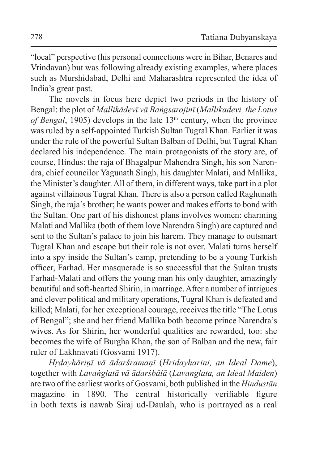"local" perspective (his personal connections were in Bihar, Benares and Vrindavan) but was following already existing examples, where places such as Murshidabad, Delhi and Maharashtra represented the idea of India's great past.

The novels in focus here depict two periods in the history of Bengal: the plot of *Mallikādevī vā Baṅgsarojinī* (*Mallikadevi, the Lotus of Bengal*, 1905) develops in the late  $13<sup>th</sup>$  century, when the province was ruled by a self-appointed Turkish Sultan Tugral Khan. Earlier it was under the rule of the powerful Sultan Balban of Delhi, but Tugral Khan declared his independence. The main protagonists of the story are, of course, Hindus: the raja of Bhagalpur Mahendra Singh, his son Narendra, chief councilor Yagunath Singh, his daughter Malati, and Mallika, the Minister's daughter. All of them, in different ways, take part in a plot against villainous Tugral Khan. There is also a person called Raghunath Singh, the raja's brother; he wants power and makes efforts to bond with the Sultan. One part of his dishonest plans involves women: charming Malati and Mallika (both of them love Narendra Singh) are captured and sent to the Sultan's palace to join his harem. They manage to outsmart Tugral Khan and escape but their role is not over. Malati turns herself into a spy inside the Sultan's camp, pretending to be a young Turkish officer, Farhad. Her masquerade is so successful that the Sultan trusts Farhad-Malati and offers the young man his only daughter, amazingly beautiful and soft-hearted Shirin, in marriage. After a number of intrigues and clever political and military operations, Tugral Khan is defeated and killed; Malati, for her exceptional courage, receives the title "The Lotus of Bengal"; she and her friend Mallika both become prince Narendra's wives. As for Shirin, her wonderful qualities are rewarded, too: she becomes the wife of Burgha Khan, the son of Balban and the new, fair ruler of Lakhnavati (Gosvami 1917).

*Hṛdayhāriṇī vā ādarśramaṇī* (*Hridayharini, an Ideal Dame*), together with *Lavaṅglatā vā ādarśbālā* (*Lavanglata, an Ideal Maiden*) are two of the earliest works of Gosvami, both published in the *Hindustān* magazine in 1890. The central historically verifiable figure in both texts is nawab Siraj ud-Daulah, who is portrayed as a real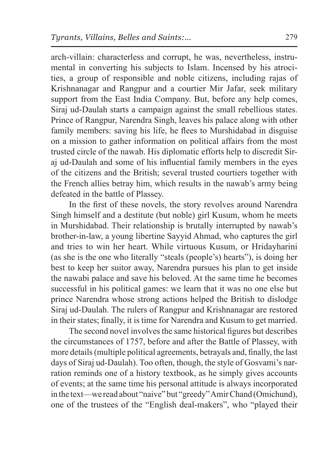arch-villain: characterless and corrupt, he was, nevertheless, instrumental in converting his subjects to Islam. Incensed by his atrocities, a group of responsible and noble citizens, including rajas of Krishnanagar and Rangpur and a courtier Mir Jafar, seek military support from the East India Company. But, before any help comes, Siraj ud-Daulah starts a campaign against the small rebellious states. Prince of Rangpur, Narendra Singh, leaves his palace along with other family members: saving his life, he flees to Murshidabad in disguise on a mission to gather information on political affairs from the most trusted circle of the nawab. His diplomatic efforts help to discredit Siraj ud-Daulah and some of his influential family members in the eyes of the citizens and the British; several trusted courtiers together with the French allies betray him, which results in the nawab's army being defeated in the battle of Plassey.

In the first of these novels, the story revolves around Narendra Singh himself and a destitute (but noble) girl Kusum, whom he meets in Murshidabad. Their relationship is brutally interrupted by nawab's brother-in-law, a young libertine Sayyid Ahmad, who captures the girl and tries to win her heart. While virtuous Kusum, or Hridayharini (as she is the one who literally "steals (people's) hearts"), is doing her best to keep her suitor away, Narendra pursues his plan to get inside the nawabi palace and save his beloved. At the same time he becomes successful in his political games: we learn that it was no one else but prince Narendra whose strong actions helped the British to dislodge Siraj ud-Daulah. The rulers of Rangpur and Krishnanagar are restored in their states; finally, it is time for Narendra and Kusum to get married.

The second novel involves the same historical figures but describes the circumstances of 1757, before and after the Battle of Plassey, with more details (multiple political agreements, betrayals and, finally, the last days of Siraj ud-Daulah). Too often, though, the style of Gosvami's narration reminds one of a history textbook, as he simply gives accounts of events; at the same time his personal attitude is always incorporated in the text—we read about "naive" but "greedy" Amir Chand (Omichund), one of the trustees of the "English deal-makers", who "played their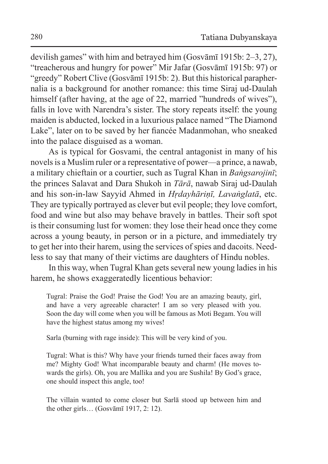devilish games" with him and betrayed him (Gosvāmī 1915b: 2–3, 27), "treacherous and hungry for power" Mir Jafar (Gosvāmī 1915b: 97) or "greedy" Robert Clive (Gosvāmī 1915b: 2). But this historical paraphernalia is a background for another romance: this time Siraj ud-Daulah himself (after having, at the age of 22, married "hundreds of wives"), falls in love with Narendra's sister. The story repeats itself: the young maiden is abducted, locked in a luxurious palace named "The Diamond Lake", later on to be saved by her fiancée Madanmohan, who sneaked into the palace disguised as a woman.

As is typical for Gosvami, the central antagonist in many of his novels is a Muslim ruler or a representative of power—a prince, a nawab, a military chieftain or a courtier, such as Tugral Khan in *Baṅgsarojinī*; the princes Salavat and Dara Shukoh in *Tārā*, nawab Siraj ud-Daulah and his son-in-law Sayyid Ahmed in *Hṛdayhāriṇī, Lavaṅglatā*, etc. They are typically portrayed as clever but evil people; they love comfort, food and wine but also may behave bravely in battles. Their soft spot is their consuming lust for women: they lose their head once they come across a young beauty, in person or in a picture, and immediately try to get her into their harem, using the services of spies and dacoits. Needless to say that many of their victims are daughters of Hindu nobles.

In this way, when Tugral Khan gets several new young ladies in his harem, he shows exaggeratedly licentious behavior:

Tugral: Praise the God! Praise the God! You are an amazing beauty, girl, and have a very agreeable character! I am so very pleased with you. Soon the day will come when you will be famous as Moti Begam. You will have the highest status among my wives!

Sarla (burning with rage inside): This will be very kind of you.

Tugral: What is this? Why have your friends turned their faces away from me? Mighty God! What incomparable beauty and charm! (He moves towards the girls). Oh, you are Mallika and you are Sushila! By God's grace, one should inspect this angle, too!

The villain wanted to come closer but Sarlā stood up between him and the other girls… (Gosvāmī 1917, 2: 12).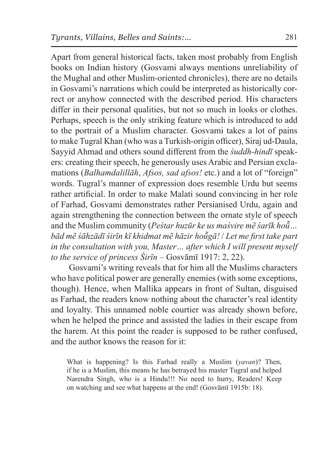Apart from general historical facts, taken most probably from English books on Indian history (Gosvami always mentions unreliability of the Mughal and other Muslim-oriented chronicles), there are no details in Gosvami's narrations which could be interpreted as historically correct or anyhow connected with the described period. His characters differ in their personal qualities, but not so much in looks or clothes. Perhaps, speech is the only striking feature which is introduced to add to the portrait of a Muslim character. Gosvami takes a lot of pains to make Tugral Khan (who was a Turkish-origin officer), Siraj ud-Daula, Sayyid Ahmad and others sound different from the *śuddh*-*hindī* speakers: creating their speech, he generously uses Arabic and Persian exclamations (*Balhamdalillāh*, *Afsos, sad afsos!* etc.) and a lot of "foreign" words. Tugral's manner of expression does resemble Urdu but seems rather artificial. In order to make Malati sound convincing in her role of Farhad, Gosvami demonstrates rather Persianised Urdu, again and again strengthening the connection between the ornate style of speech and the Muslim community (*Peśtar huzūr ke us maśvire mẽ śarīk hoū̃… bād mẽ śāhzādī śirīn kī khidmat mẽ hāzir hoū̃ gā!* / *Let me first take part in the consultation with you, Master… after which I will present myself to the service of princess Śirīn* – Gosvāmī 1917: 2, 22).

Gosvami's writing reveals that for him all the Muslims characters who have political power are generally enemies (with some exceptions, though). Hence, when Mallika appears in front of Sultan, disguised as Farhad, the readers know nothing about the character's real identity and loyalty. This unnamed noble courtier was already shown before, when he helped the prince and assisted the ladies in their escape from the harem. At this point the reader is supposed to be rather confused, and the author knows the reason for it:

What is happening? Is this Farhad really a Muslim (*yavan*)? Then, if he is a Muslim, this means he has betrayed his master Tugral and helped Narendra Singh, who is a Hindu!!! No need to hurry, Readers! Keep on watching and see what happens at the end! (Gosvāmī 1915b: 18).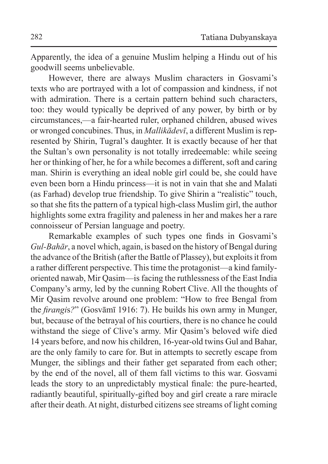Apparently, the idea of a genuine Muslim helping a Hindu out of his goodwill seems unbelievable.

However, there are always Muslim characters in Gosvami's texts who are portrayed with a lot of compassion and kindness, if not with admiration. There is a certain pattern behind such characters, too: they would typically be deprived of any power, by birth or by circumstances,—a fair-hearted ruler, orphaned children, abused wives or wronged concubines. Thus, in *Mallikādevī*, a different Muslim is represented by Shirin, Tugral's daughter. It is exactly because of her that the Sultan's own personality is not totally irredeemable: while seeing her or thinking of her, he for a while becomes a different, soft and caring man. Shirin is everything an ideal noble girl could be, she could have even been born a Hindu princess—it is not in vain that she and Malati (as Farhad) develop true friendship. To give Shirin a "realistic" touch, so that she fits the pattern of a typical high-class Muslim girl, the author highlights some extra fragility and paleness in her and makes her a rare connoisseur of Persian language and poetry.

Remarkable examples of such types one finds in Gosvami's *Gul-Bahār*, a novel which, again, is based on the history of Bengal during the advance of the British (after the Battle of Plassey), but exploits it from a rather different perspective. This time the protagonist—a kind familyoriented nawab, Mir Qasim—is facing the ruthlessness of the East India Company's army, led by the cunning Robert Clive. All the thoughts of Mir Qasim revolve around one problem: "How to free Bengal from the *firangi*s*?*" (Gosvāmī 1916: 7). He builds his own army in Munger, but, because of the betrayal of his courtiers, there is no chance he could withstand the siege of Clive's army. Mir Qasim's beloved wife died 14 years before, and now his children, 16-year-old twins Gul and Bahar, are the only family to care for. But in attempts to secretly escape from Munger, the siblings and their father get separated from each other; by the end of the novel, all of them fall victims to this war. Gosvami leads the story to an unpredictably mystical finale: the pure-hearted, radiantly beautiful, spiritually-gifted boy and girl create a rare miracle after their death. At night, disturbed citizens see streams of light coming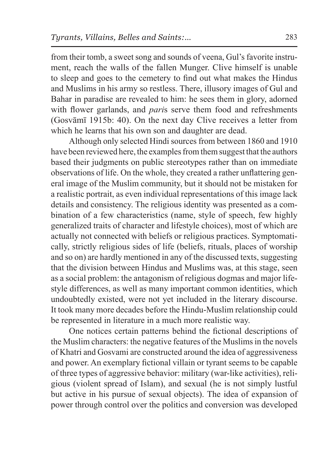from their tomb, a sweet song and sounds of veena, Gul's favorite instrument, reach the walls of the fallen Munger. Clive himself is unable to sleep and goes to the cemetery to find out what makes the Hindus and Muslims in his army so restless. There, illusory images of Gul and Bahar in paradise are revealed to him: he sees them in glory, adorned with flower garlands, and *pari*s serve them food and refreshments (Gosvāmī 1915b: 40). On the next day Clive receives a letter from which he learns that his own son and daughter are dead.

Although only selected Hindi sources from between 1860 and 1910 have been reviewed here, the examples from them suggest that the authors based their judgments on public stereotypes rather than on immediate observations of life. On the whole, they created a rather unflattering general image of the Muslim community, but it should not be mistaken for a realistic portrait, as even individual representations of this image lack details and consistency. The religious identity was presented as a combination of a few characteristics (name, style of speech, few highly generalized traits of character and lifestyle choices), most of which are actually not connected with beliefs or religious practices. Symptomatically, strictly religious sides of life (beliefs, rituals, places of worship and so on) are hardly mentioned in any of the discussed texts, suggesting that the division between Hindus and Muslims was, at this stage, seen as a social problem: the antagonism of religious dogmas and major lifestyle differences, as well as many important common identities, which undoubtedly existed, were not yet included in the literary discourse. It took many more decades before the Hindu-Muslim relationship could be represented in literature in a much more realistic way.

One notices certain patterns behind the fictional descriptions of the Muslim characters: the negative features of the Muslims in the novels of Khatri and Gosvami are constructed around the idea of aggressiveness and power. An exemplary fictional villain or tyrant seems to be capable of three types of aggressive behavior: military (war-like activities), religious (violent spread of Islam), and sexual (he is not simply lustful but active in his pursue of sexual objects). The idea of expansion of power through control over the politics and conversion was developed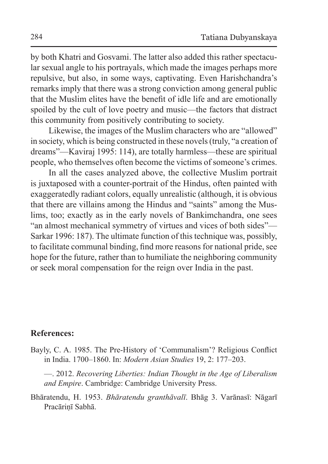by both Khatri and Gosvami. The latter also added this rather spectacular sexual angle to his portrayals, which made the images perhaps more repulsive, but also, in some ways, captivating. Even Harishchandra's remarks imply that there was a strong conviction among general public that the Muslim elites have the benefit of idle life and are emotionally spoiled by the cult of love poetry and music—the factors that distract this community from positively contributing to society.

Likewise, the images of the Muslim characters who are "allowed" in society, which is being constructed in these novels (truly, "a creation of dreams"—Kaviraj 1995: 114), are totally harmless—these are spiritual people, who themselves often become the victims of someone's crimes.

In all the cases analyzed above, the collective Muslim portrait is juxtaposed with a counter-portrait of the Hindus, often painted with exaggeratedly radiant colors, equally unrealistic (although, it is obvious that there are villains among the Hindus and "saints" among the Muslims, too; exactly as in the early novels of Bankimchandra, one sees "an almost mechanical symmetry of virtues and vices of both sides"— Sarkar 1996: 187). The ultimate function of this technique was, possibly, to facilitate communal binding, find more reasons for national pride, see hope for the future, rather than to humiliate the neighboring community or seek moral compensation for the reign over India in the past.

## **References:**

Bayly, C. A. 1985. The Pre-History of 'Communalism'? Religious Conflict in India. 1700–1860. In: *Modern Asian Studies* 19, 2: 177–203.

—. 2012. *Recovering Liberties: Indian Thought in the Age of Liberalism and Empire*. Cambridge: Cambridge University Press.

Bhāratendu, H. 1953. *Bhāratendu granthāvalī*. Bhāg 3. Vаrānasī: Nāgarī Pracāriṇī Sabhā.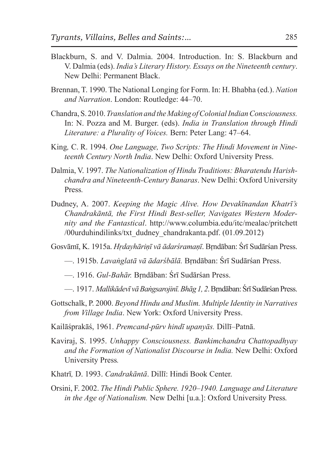- Blackburn, S. and V. Dalmia. 2004. Introduction. In: S. Blackburn and V. Dalmia (eds). *India's Literary History. Essays on the Nineteenth century*. New Delhi: Permanent Black.
- Brennan, T. 1990. The National Longing for Form. In: H. Bhabha (ed.). *Nation and Narration*. London: Routledge: 44–70.
- Chandra, S. 2010. *Translation and the Making of Colonial Indian Consciousness.*  In: N. Pozza and M. Burger. (eds). *India in Translation through Hindi Literature: a Plurality of Voices.* Bern: Peter Lang: 47–64.
- King*,* C. R. 1994. *One Language, Two Scripts: The Hindi Movement in Nineteenth Century North India*. New Delhi: Oxford University Press.
- Dalmia, V. 1997. *The Nationalization of Hindu Traditions: Bharatendu Harishchandra and Nineteenth-Century Banaras*. New Delhi: Oxford University Press*.*
- Dudney, A. 2007. *Keeping the Magic Alive. How Devakīnandan Khatrī's Chandrakāntā, the First Hindi Best-seller, Navigates Western Modernity and the Fantastical*. http://www.columbia.edu/itc/mealac/pritchett /00urduhindilinks/txt\_dudney\_chandrakanta.pdf. (01.09.2012)

Gosvāmī, K. 1915a. *Hṛdayhāriṇī vā ādarśramaṇī*. Bṛndāban: Śrī Sudārśan Press.

- —. 1915b. *Lavaṅglatā vā ādarśbālā.* Bṛndāban: Śrī Sudārśan Press.
- —. 1916. *Gul-Bahār.* Bṛndāban: Śrī Sudārśan Press.
- —. 1917. *Mallikādevī vā Baṅgsarojinī. Bhāg 1, 2*. Bṛndāban:Śrī Sudārśan Press.
- Gottschalk, P. 2000. *Beyond Hindu and Muslim. Multiple Identity in Narratives from Village India*. New York: Oxford University Press.
- Kailāśprakāś, 1961. *Premcand-pūrv hindī upanyās.* Dillī–Patnā.
- Kaviraj, S. 1995. *Unhappy Consciousness. Bankimchandra Chattopadhyay and the Formation of Nationalist Discourse in India.* New Delhi: Oxford University Press*.*
- Khatrī*,* D. 1993. *Candrakāntā*. Dillī: Hindi Book Center.
- Orsini, F. 2002. *The Hindi Public Sphere. 1920–1940. Language and Literature in the Age of Nationalism.* New Delhi [u.a.]: Oxford University Press*.*